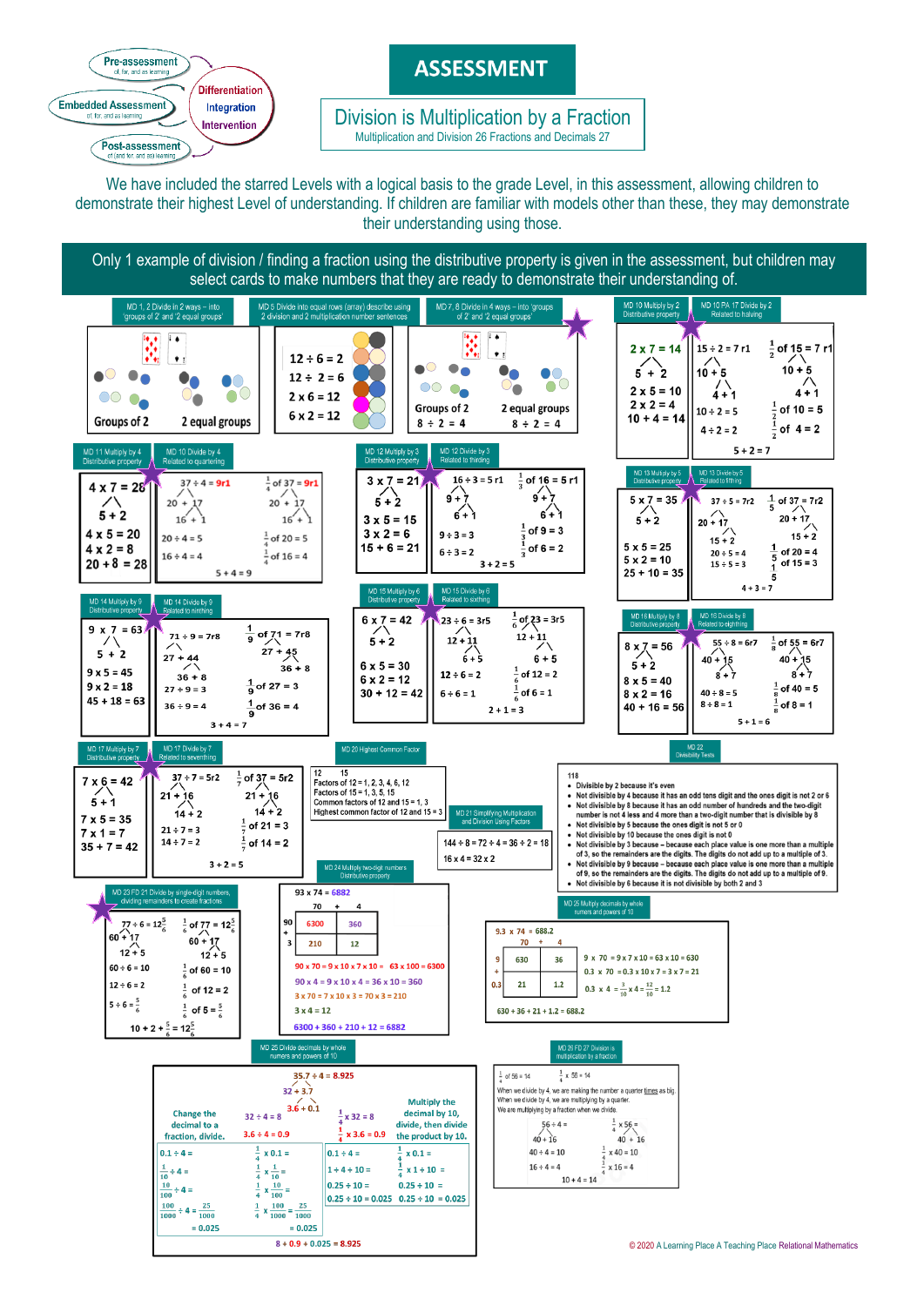

# **ASSESSMENT**

 Multiplication and Division 26 Fractions and Decimals 27 Division is Multiplication by a Fraction

We have included the starred Levels with a logical basis to the grade Level, in this assessment, allowing children to demonstrate their highest Level of understanding. If children are familiar with models other than these, they may demonstrate their understanding using those.

Only 1 example of division / finding a fraction using the distributive property is given in the assessment, but children may select cards to make numbers that they are ready to demonstrate their understanding of.

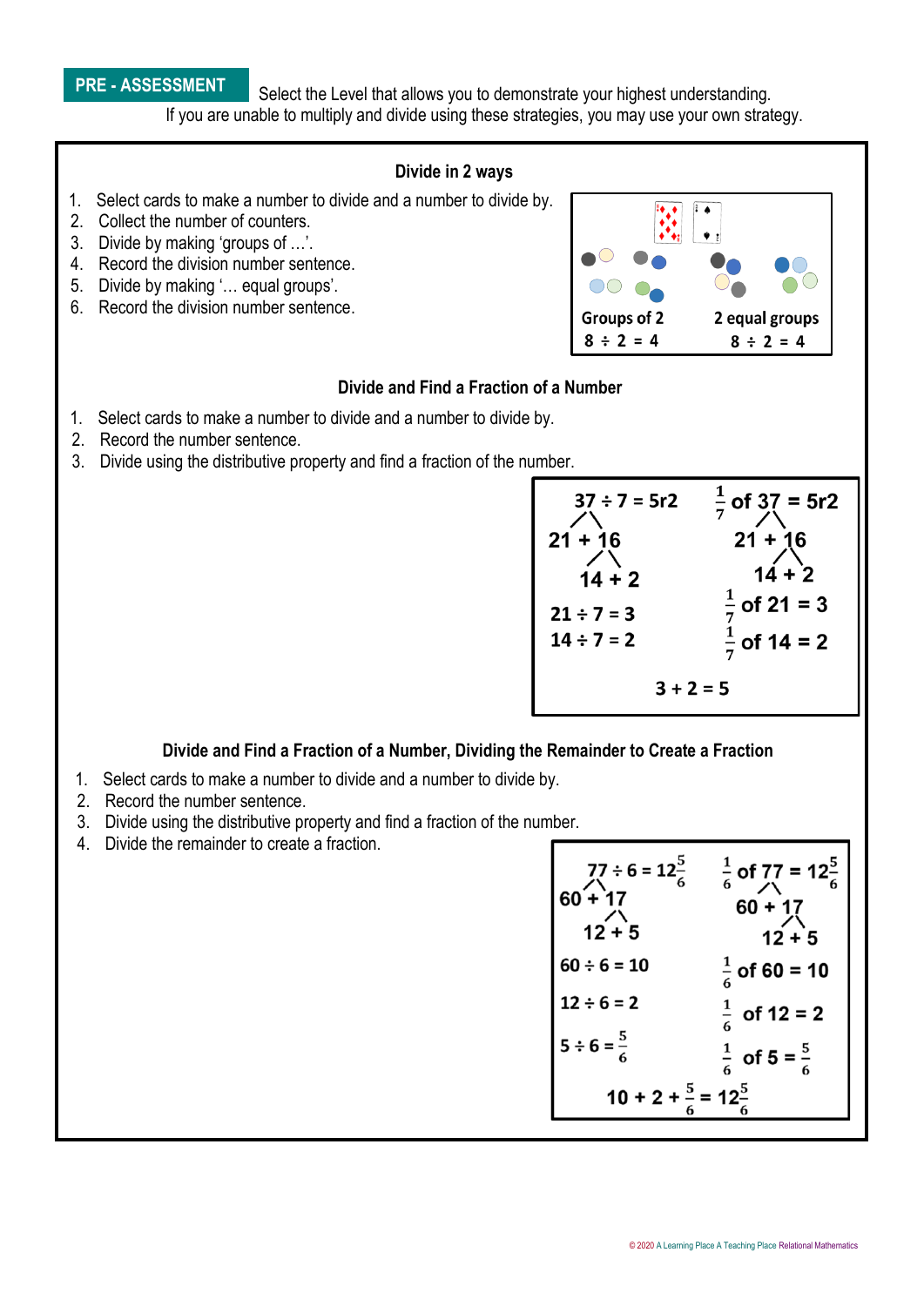## **PRE - ASSESSMENT**

Select the Level that allows you to demonstrate your highest understanding. If you are unable to multiply and divide using these strategies, you may use your own strategy.



#### **Divide and Find a Fraction of a Number, Dividing the Remainder to Create a Fraction**

- 1. Select cards to make a number to divide and a number to divide by.
- 2. Record the number sentence.
- 3. Divide using the distributive property and find a fraction of the number.
- 4. Divide the remainder to create a fraction.

| $77 \div 6 = 12^5$<br>$60 + 17$<br>$\sqrt{12+5}$ | $\frac{1}{6}$ of 77 = 12 $\frac{5}{6}$<br>$60 + 17$<br>$12 + 5$ |
|--------------------------------------------------|-----------------------------------------------------------------|
| $60 \div 6 = 10$                                 | $\frac{1}{7}$ of 60 = 10                                        |
| $12 \div 6 = 2$                                  | $\frac{1}{2}$ of 12 = 2                                         |
| $5 \div 6 = \frac{5}{7}$                         | $\frac{1}{6}$<br>of $5 = \frac{5}{7}$                           |
| $10 + 2 + \frac{5}{6} = 12\frac{5}{6}$           |                                                                 |

 $3 + 2 = 5$